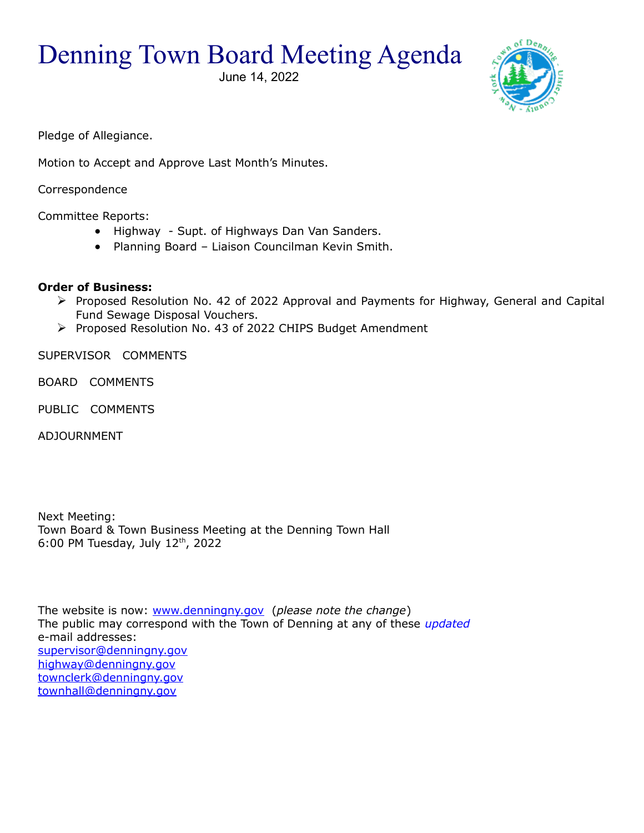Denning Town Board Meeting Agenda

June 14, 2022



Pledge of Allegiance.

Motion to Accept and Approve Last Month's Minutes.

Correspondence

Committee Reports:

- Highway Supt. of Highways Dan Van Sanders.
- Planning Board Liaison Councilman Kevin Smith.

## **Order of Business:**

- Proposed Resolution No. 42 of 2022 Approval and Payments for Highway, General and Capital Fund Sewage Disposal Vouchers.
- Proposed Resolution No. 43 of 2022 CHIPS Budget Amendment

SUPERVISOR COMMENTS

BOARD COMMENTS

PUBLIC COMMENTS

ADJOURNMENT

Next Meeting: Town Board & Town Business Meeting at the Denning Town Hall 6:00 PM Tuesday, July  $12<sup>th</sup>$ , 2022

The website is now: [www.denningny.gov](http://www.denningny.gov/) (*please note the change*) The public may correspond with the Town of Denning at any of these *updated* e-mail addresses: [supervisor@denningny.gov](mailto:supervisor@denningny.gov) [highway@denningny.gov](mailto:highway@denningny.gov) [townclerk@denningny.gov](mailto:townclerk@denningny.gov) [townhall@denningny.gov](mailto:townhall@denningny.gov)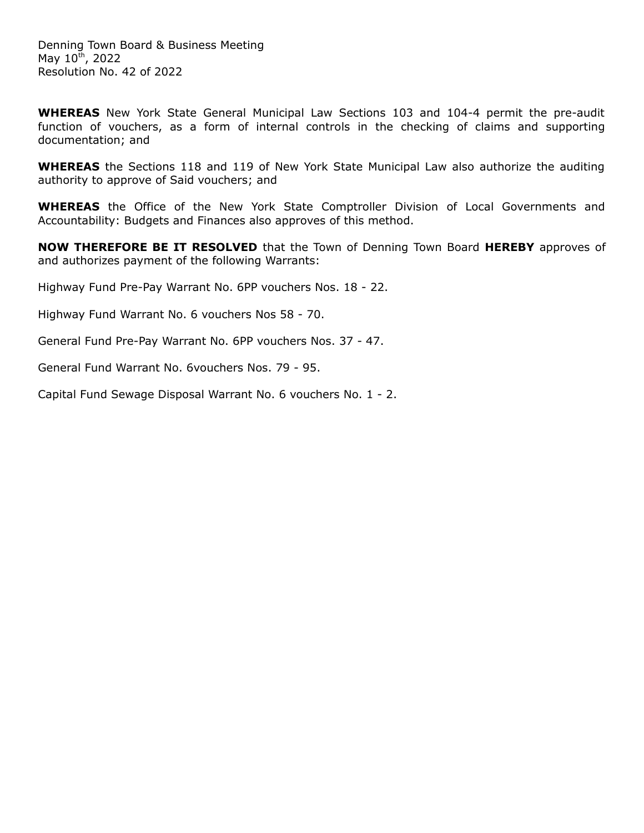**WHEREAS** New York State General Municipal Law Sections 103 and 104-4 permit the pre-audit function of vouchers, as a form of internal controls in the checking of claims and supporting documentation; and

**WHEREAS** the Sections 118 and 119 of New York State Municipal Law also authorize the auditing authority to approve of Said vouchers; and

**WHEREAS** the Office of the New York State Comptroller Division of Local Governments and Accountability: Budgets and Finances also approves of this method.

**NOW THEREFORE BE IT RESOLVED** that the Town of Denning Town Board **HEREBY** approves of and authorizes payment of the following Warrants:

Highway Fund Pre-Pay Warrant No. 6PP vouchers Nos. 18 - 22.

Highway Fund Warrant No. 6 vouchers Nos 58 - 70.

General Fund Pre-Pay Warrant No. 6PP vouchers Nos. 37 - 47.

General Fund Warrant No. 6vouchers Nos. 79 - 95.

Capital Fund Sewage Disposal Warrant No. 6 vouchers No. 1 - 2.